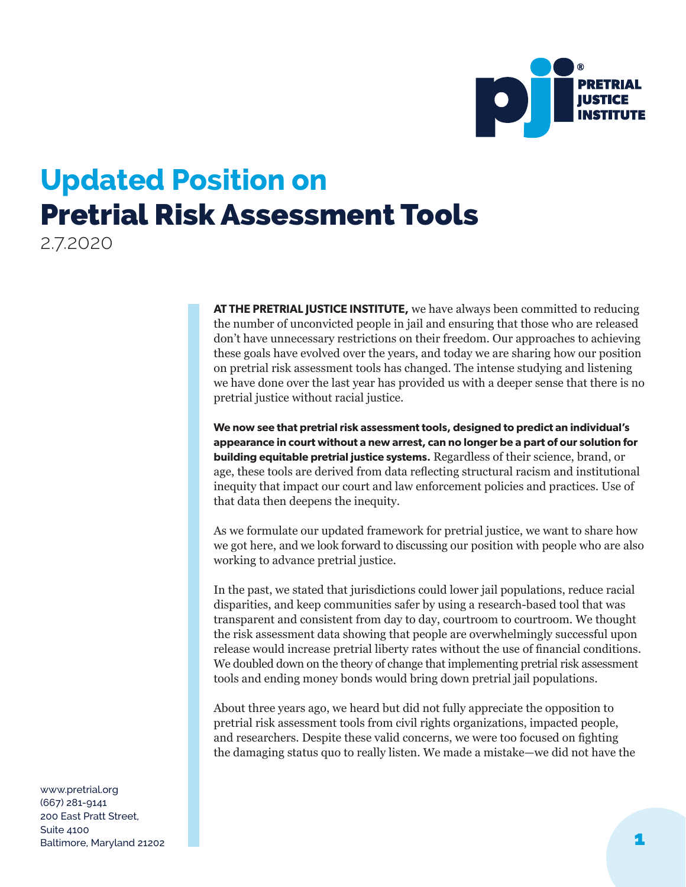

## **Updated Position on**  Pretrial Risk Assessment Tools

2.7.2020

**AT THE PRETRIAL JUSTICE INSTITUTE,** we have always been committed to reducing the number of unconvicted people in jail and ensuring that those who are released don't have unnecessary restrictions on their freedom. Our approaches to achieving these goals have evolved over the years, and today we are sharing how our position on pretrial risk assessment tools has changed. The intense studying and listening we have done over the last year has provided us with a deeper sense that there is no pretrial justice without racial justice.

**We now see that pretrial risk assessment tools, designed to predict an individual's appearance in court without a new arrest, can no longer be a part of our solution for building equitable pretrial justice systems.** Regardless of their science, brand, or age, these tools are derived from data reflecting structural racism and institutional inequity that impact our court and law enforcement policies and practices. Use of that data then deepens the inequity.

As we formulate our updated framework for pretrial justice, we want to share how we got here, and we look forward to discussing our position with people who are also working to advance pretrial justice.

In the past, we stated that jurisdictions could lower jail populations, reduce racial disparities, and keep communities safer by using a research-based tool that was transparent and consistent from day to day, courtroom to courtroom. We thought the risk assessment data showing that people are overwhelmingly successful upon release would increase pretrial liberty rates without the use of financial conditions. We doubled down on the theory of change that implementing pretrial risk assessment tools and ending money bonds would bring down pretrial jail populations.

About three years ago, we heard but did not fully appreciate the opposition to pretrial risk assessment tools from civil rights organizations, impacted people, and researchers. Despite these valid concerns, we were too focused on fighting the damaging status quo to really listen. We made a mistake—we did not have the

www.pretrial.org (667) 281-9141 200 East Pratt Street, Suite 4100 Baltimore, Maryland 21202